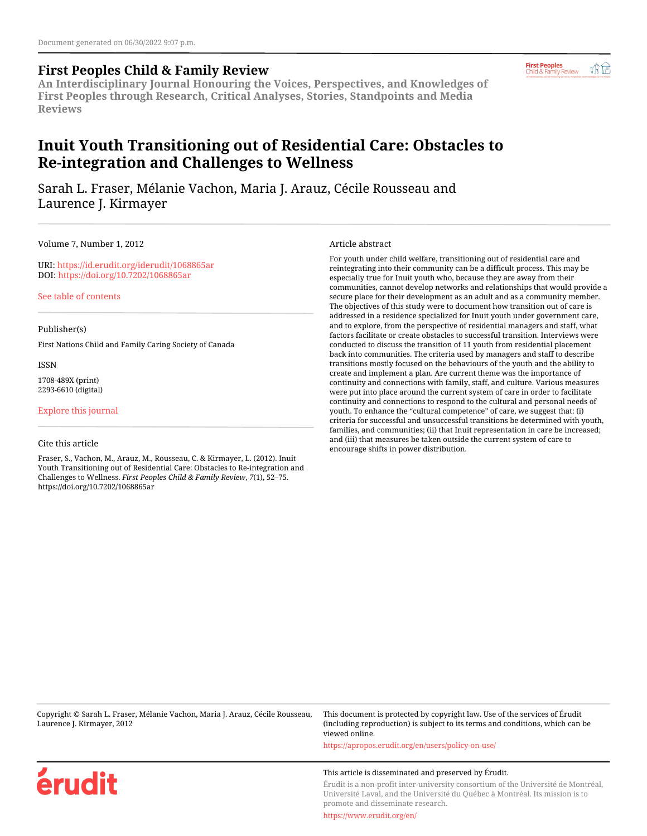## **First Peoples Child & Family Review**

**An Interdisciplinary Journal Honouring the Voices, Perspectives, and Knowledges of First Peoples through Research, Critical Analyses, Stories, Standpoints and Media Reviews**

# **Inuit Youth Transitioning out of Residential Care: Obstacles to Re-integration and Challenges to Wellness**

Sarah L. Fraser, Mélanie Vachon, Maria J. Arauz, Cécile Rousseau and Laurence J. Kirmayer

Volume 7, Number 1, 2012

URI:<https://id.erudit.org/iderudit/1068865ar> DOI:<https://doi.org/10.7202/1068865ar>

[See table of contents](https://www.erudit.org/en/journals/fpcfr/2012-v7-n1-fpcfr05246/)

Publisher(s)

First Nations Child and Family Caring Society of Canada

ISSN

1708-489X (print) 2293-6610 (digital)

[Explore this journal](https://www.erudit.org/en/journals/fpcfr/)

érudit

#### Cite this article

Fraser, S., Vachon, M., Arauz, M., Rousseau, C. & Kirmayer, L. (2012). Inuit Youth Transitioning out of Residential Care: Obstacles to Re-integration and Challenges to Wellness. *First Peoples Child & Family Review*, *7*(1), 52–75. https://doi.org/10.7202/1068865ar

Article abstract

For youth under child welfare, transitioning out of residential care and reintegrating into their community can be a difficult process. This may be especially true for Inuit youth who, because they are away from their communities, cannot develop networks and relationships that would provide a secure place for their development as an adult and as a community member. The objectives of this study were to document how transition out of care is addressed in a residence specialized for Inuit youth under government care, and to explore, from the perspective of residential managers and staff, what factors facilitate or create obstacles to successful transition. Interviews were conducted to discuss the transition of 11 youth from residential placement back into communities. The criteria used by managers and staff to describe transitions mostly focused on the behaviours of the youth and the ability to create and implement a plan. Are current theme was the importance of continuity and connections with family, staff, and culture. Various measures were put into place around the current system of care in order to facilitate continuity and connections to respond to the cultural and personal needs of youth. To enhance the "cultural competence" of care, we suggest that: (i) criteria for successful and unsuccessful transitions be determined with youth, families, and communities; (ii) that Inuit representation in care be increased; and (iii) that measures be taken outside the current system of care to encourage shifts in power distribution.

Copyright © Sarah L. Fraser, Mélanie Vachon, Maria J. Arauz, Cécile Rousseau, Laurence J. Kirmayer, 2012

This document is protected by copyright law. Use of the services of Érudit (including reproduction) is subject to its terms and conditions, which can be viewed online.

<https://apropos.erudit.org/en/users/policy-on-use/>

#### This article is disseminated and preserved by Érudit.

Érudit is a non-profit inter-university consortium of the Université de Montréal, Université Laval, and the Université du Québec à Montréal. Its mission is to promote and disseminate research.

<https://www.erudit.org/en/>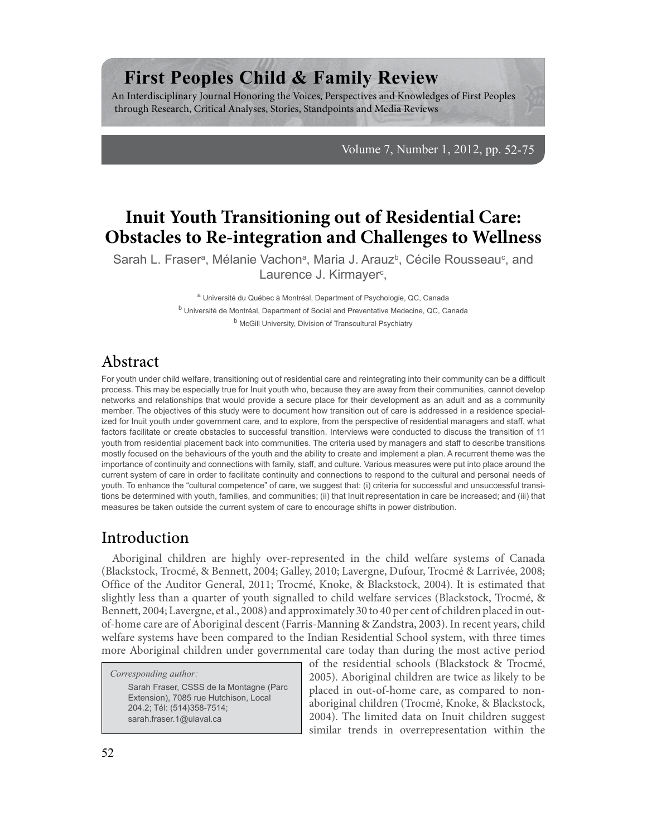# **First Peoples Child & Family Review**

An Interdisciplinary Journal Honoring the Voices, Perspectives and Knowledges of First Peoples through Research, Critical Analyses, Stories, Standpoints and Media Reviews

Volume 7, Number 1, 2012, pp. 52-75

# **Inuit Youth Transitioning out of Residential Care: Obstacles to Re-integration and Challenges to Wellness**

Sarah L. Fraser<sup>a</sup>, Mélanie Vachon<sup>a</sup>, Maria J. Arauz<sup>b</sup>, Cécile Rousseau<sup>c</sup>, and Laurence J. Kirmayer<sup>c</sup>,

> a<br>
> <sup>a</sup> Université du Québec à Montréal, Department of Psychologie, QC, Canada <sup>b</sup> Université de Montréal, Department of Social and Preventative Medecine, QC, Canada <sup>b</sup> McGill University, Division of Transcultural Psychiatry

## Abstract

For youth under child welfare, transitioning out of residential care and reintegrating into their community can be a difficult process. This may be especially true for Inuit youth who, because they are away from their communities, cannot develop networks and relationships that would provide a secure place for their development as an adult and as a community member. The objectives of this study were to document how transition out of care is addressed in a residence specialized for Inuit youth under government care, and to explore, from the perspective of residential managers and staff, what factors facilitate or create obstacles to successful transition. Interviews were conducted to discuss the transition of 11 youth from residential placement back into communities. The criteria used by managers and staff to describe transitions mostly focused on the behaviours of the youth and the ability to create and implement a plan. A recurrent theme was the importance of continuity and connections with family, staff, and culture. Various measures were put into place around the current system of care in order to facilitate continuity and connections to respond to the cultural and personal needs of youth. To enhance the "cultural competence" of care, we suggest that: (i) criteria for successful and unsuccessful transitions be determined with youth, families, and communities; (ii) that Inuit representation in care be increased; and (iii) that measures be taken outside the current system of care to encourage shifts in power distribution.

# Introduction

Aboriginal children are highly over-represented in the child welfare systems of Canada (Blackstock, Trocmé, & Bennett, 2004; Galley, 2010; Lavergne, Dufour, Trocmé & Larrivée, 2008; Office of the Auditor General, 2011; Trocmé, Knoke, & Blackstock, 2004). It is estimated that slightly less than a quarter of youth signalled to child welfare services (Blackstock, Trocmé, & Bennett, 2004; Lavergne, et al., 2008) and approximately 30 to 40 per cent of children placed in outof-home care are of Aboriginal descent (Farris-Manning & Zandstra, 2003). In recent years, child welfare systems have been compared to the Indian Residential School system, with three times more Aboriginal children under governmental care today than during the most active period

*Corresponding author:*

Sarah Fraser, CSSS de la Montagne (Parc Extension), 7085 rue Hutchison, Local 204.2; Tél: (514)358-7514; sarah.fraser.1@ulaval.ca

of the residential schools (Blackstock & Trocmé, 2005). Aboriginal children are twice as likely to be placed in out-of-home care, as compared to nonaboriginal children (Trocmé, Knoke, & Blackstock, 2004). The limited data on Inuit children suggest similar trends in overrepresentation within the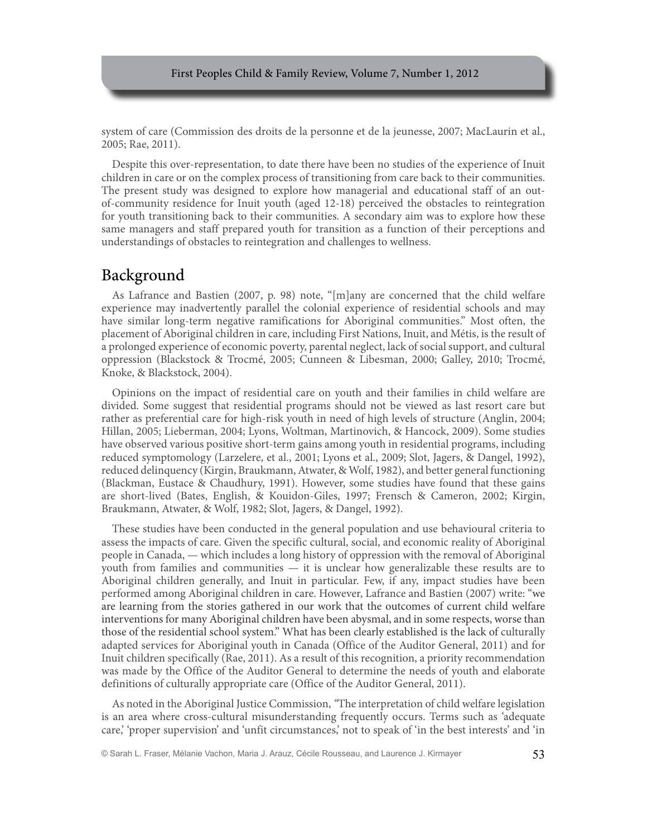system of care (Commission des droits de la personne et de la jeunesse, 2007; MacLaurin et al., 2005; Rae, 2011).

Despite this over-representation, to date there have been no studies of the experience of Inuit children in care or on the complex process of transitioning from care back to their communities. The present study was designed to explore how managerial and educational staff of an outof-community residence for Inuit youth (aged 12-18) perceived the obstacles to reintegration for youth transitioning back to their communities. A secondary aim was to explore how these same managers and staff prepared youth for transition as a function of their perceptions and understandings of obstacles to reintegration and challenges to wellness.

# Background

As Lafrance and Bastien (2007, p. 98) note, "[m]any are concerned that the child welfare experience may inadvertently parallel the colonial experience of residential schools and may have similar long-term negative ramifications for Aboriginal communities." Most often, the placement of Aboriginal children in care, including First Nations, Inuit, and Métis, is the result of a prolonged experience of economic poverty, parental neglect, lack of social support, and cultural oppression (Blackstock & Trocmé, 2005; Cunneen & Libesman, 2000; Galley, 2010; Trocmé, Knoke, & Blackstock, 2004).

Opinions on the impact of residential care on youth and their families in child welfare are divided. Some suggest that residential programs should not be viewed as last resort care but rather as preferential care for high-risk youth in need of high levels of structure (Anglin, 2004; Hillan, 2005; Lieberman, 2004; Lyons, Woltman, Martinovich, & Hancock, 2009). Some studies have observed various positive short-term gains among youth in residential programs, including reduced symptomology (Larzelere, et al., 2001; Lyons et al., 2009; Slot, Jagers, & Dangel, 1992), reduced delinquency (Kirgin, Braukmann, Atwater, & Wolf, 1982), and better general functioning (Blackman, Eustace & Chaudhury, 1991). However, some studies have found that these gains are short-lived (Bates, English, & Kouidon-Giles, 1997; Frensch & Cameron, 2002; Kirgin, Braukmann, Atwater, & Wolf, 1982; Slot, Jagers, & Dangel, 1992).

These studies have been conducted in the general population and use behavioural criteria to assess the impacts of care. Given the specific cultural, social, and economic reality of Aboriginal people in Canada, — which includes a long history of oppression with the removal of Aboriginal youth from families and communities — it is unclear how generalizable these results are to Aboriginal children generally, and Inuit in particular. Few, if any, impact studies have been performed among Aboriginal children in care. However, Lafrance and Bastien (2007) write: "we are learning from the stories gathered in our work that the outcomes of current child welfare interventions for many Aboriginal children have been abysmal, and in some respects, worse than those of the residential school system." What has been clearly established is the lack of culturally adapted services for Aboriginal youth in Canada (Office of the Auditor General, 2011) and for Inuit children specifically (Rae, 2011). As a result of this recognition, a priority recommendation was made by the Office of the Auditor General to determine the needs of youth and elaborate definitions of culturally appropriate care (Office of the Auditor General, 2011).

As noted in the Aboriginal Justice Commission, *"*The interpretation of child welfare legislation is an area where cross-cultural misunderstanding frequently occurs. Terms such as 'adequate care,' 'proper supervision' and 'unfit circumstances,' not to speak of 'in the best interests' and 'in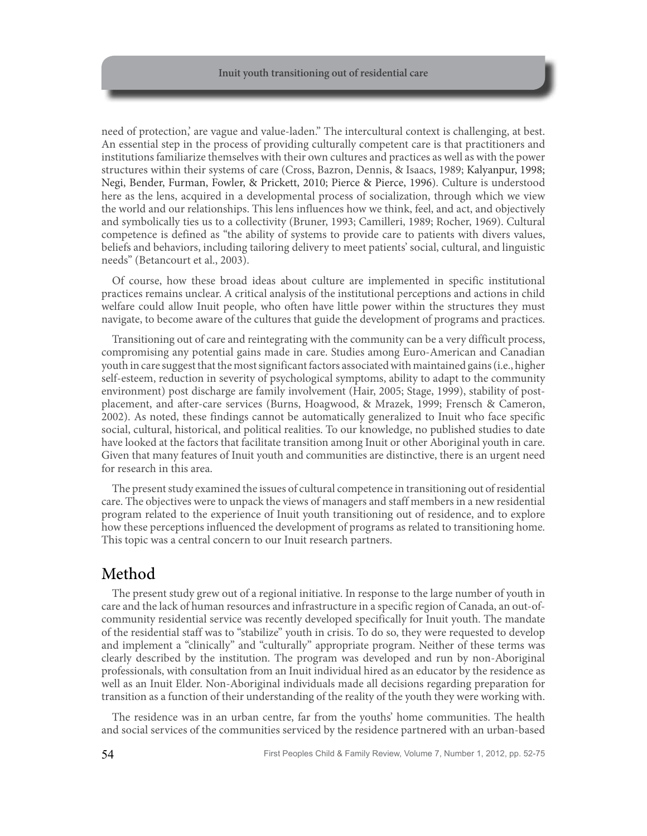need of protection,' are vague and value-laden." The intercultural context is challenging, at best. An essential step in the process of providing culturally competent care is that practitioners and institutions familiarize themselves with their own cultures and practices as well as with the power structures within their systems of care (Cross, Bazron, Dennis, & Isaacs, 1989; Kalyanpur, 1998; Negi, Bender, Furman, Fowler, & Prickett, 2010; Pierce & Pierce, 1996). Culture is understood here as the lens, acquired in a developmental process of socialization, through which we view the world and our relationships. This lens influences how we think, feel, and act, and objectively and symbolically ties us to a collectivity (Bruner, 1993; Camilleri, 1989; Rocher, 1969). Cultural competence is defined as "the ability of systems to provide care to patients with divers values, beliefs and behaviors, including tailoring delivery to meet patients' social, cultural, and linguistic needs" (Betancourt et al., 2003).

Of course, how these broad ideas about culture are implemented in specific institutional practices remains unclear. A critical analysis of the institutional perceptions and actions in child welfare could allow Inuit people, who often have little power within the structures they must navigate, to become aware of the cultures that guide the development of programs and practices.

Transitioning out of care and reintegrating with the community can be a very difficult process, compromising any potential gains made in care. Studies among Euro-American and Canadian youth in care suggest that the most significant factors associated with maintained gains (i.e., higher self-esteem, reduction in severity of psychological symptoms, ability to adapt to the community environment) post discharge are family involvement (Hair, 2005; Stage, 1999), stability of postplacement, and after-care services (Burns, Hoagwood, & Mrazek, 1999; Frensch & Cameron, 2002). As noted, these findings cannot be automatically generalized to Inuit who face specific social, cultural, historical, and political realities. To our knowledge, no published studies to date have looked at the factors that facilitate transition among Inuit or other Aboriginal youth in care. Given that many features of Inuit youth and communities are distinctive, there is an urgent need for research in this area.

The present study examined the issues of cultural competence in transitioning out of residential care. The objectives were to unpack the views of managers and staff members in a new residential program related to the experience of Inuit youth transitioning out of residence, and to explore how these perceptions influenced the development of programs as related to transitioning home. This topic was a central concern to our Inuit research partners.

# Method

The present study grew out of a regional initiative. In response to the large number of youth in care and the lack of human resources and infrastructure in a specific region of Canada, an out-ofcommunity residential service was recently developed specifically for Inuit youth. The mandate of the residential staff was to "stabilize" youth in crisis. To do so, they were requested to develop and implement a "clinically" and "culturally" appropriate program. Neither of these terms was clearly described by the institution. The program was developed and run by non-Aboriginal professionals, with consultation from an Inuit individual hired as an educator by the residence as well as an Inuit Elder. Non-Aboriginal individuals made all decisions regarding preparation for transition as a function of their understanding of the reality of the youth they were working with.

The residence was in an urban centre, far from the youths' home communities. The health and social services of the communities serviced by the residence partnered with an urban-based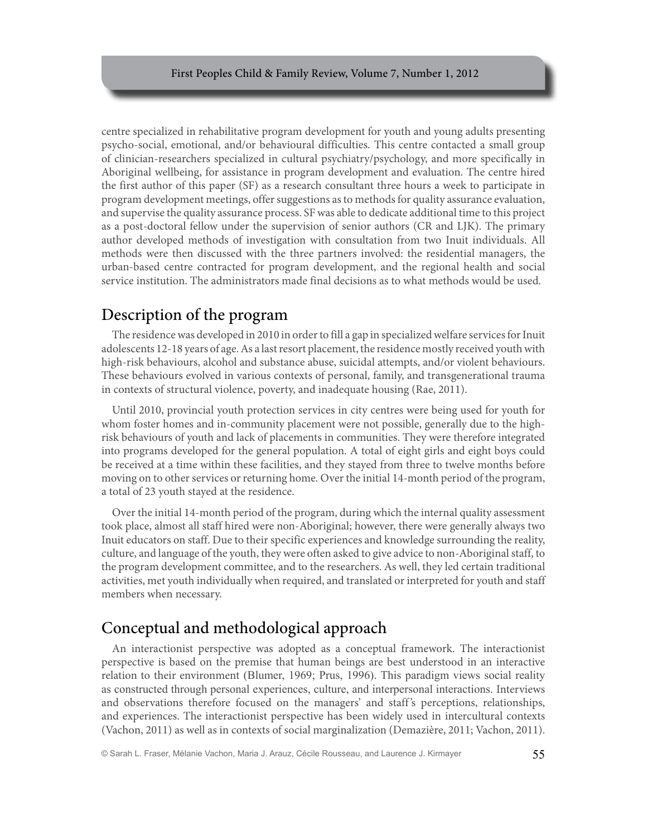centre specialized in rehabilitative program development for youth and young adults presenting psycho-social, emotional, and/or behavioural difficulties. This centre contacted a small group of clinician-researchers specialized in cultural psychiatry/psychology, and more specifically in Aboriginal wellbeing, for assistance in program development and evaluation. The centre hired the first author of this paper (SF) as a research consultant three hours a week to participate in program development meetings, offer suggestions as to methods for quality assurance evaluation, and supervise the quality assurance process. SF was able to dedicate additional time to this project as a post-doctoral fellow under the supervision of senior authors (CR and LJK). The primary author developed methods of investigation with consultation from two Inuit individuals. All methods were then discussed with the three partners involved: the residential managers, the urban-based centre contracted for program development, and the regional health and social service institution. The administrators made final decisions as to what methods would be used.

# Description of the program

The residence was developed in 2010 in order to fill a gap in specialized welfare services for Inuit adolescents 12-18 years of age. As a last resort placement, the residence mostly received youth with high-risk behaviours, alcohol and substance abuse, suicidal attempts, and/or violent behaviours. These behaviours evolved in various contexts of personal, family, and transgenerational trauma in contexts of structural violence, poverty, and inadequate housing (Rae, 2011).

Until 2010, provincial youth protection services in city centres were being used for youth for whom foster homes and in-community placement were not possible, generally due to the highrisk behaviours of youth and lack of placements in communities. They were therefore integrated into programs developed for the general population. A total of eight girls and eight boys could be received at a time within these facilities, and they stayed from three to twelve months before moving on to other services or returning home. Over the initial 14-month period of the program, a total of 23 youth stayed at the residence.

Over the initial 14-month period of the program, during which the internal quality assessment took place, almost all staff hired were non-Aboriginal; however, there were generally always two Inuit educators on staff. Due to their specific experiences and knowledge surrounding the reality, culture, and language of the youth, they were often asked to give advice to non-Aboriginal staff, to the program development committee, and to the researchers. As well, they led certain traditional activities, met youth individually when required, and translated or interpreted for youth and staff members when necessary.

# Conceptual and methodological approach

An interactionist perspective was adopted as a conceptual framework. The interactionist perspective is based on the premise that human beings are best understood in an interactive relation to their environment (Blumer, 1969; Prus, 1996). This paradigm views social reality as constructed through personal experiences, culture, and interpersonal interactions. Interviews and observations therefore focused on the managers' and staff 's perceptions, relationships, and experiences. The interactionist perspective has been widely used in intercultural contexts (Vachon, 2011) as well as in contexts of social marginalization (Demazière, 2011; Vachon, 2011).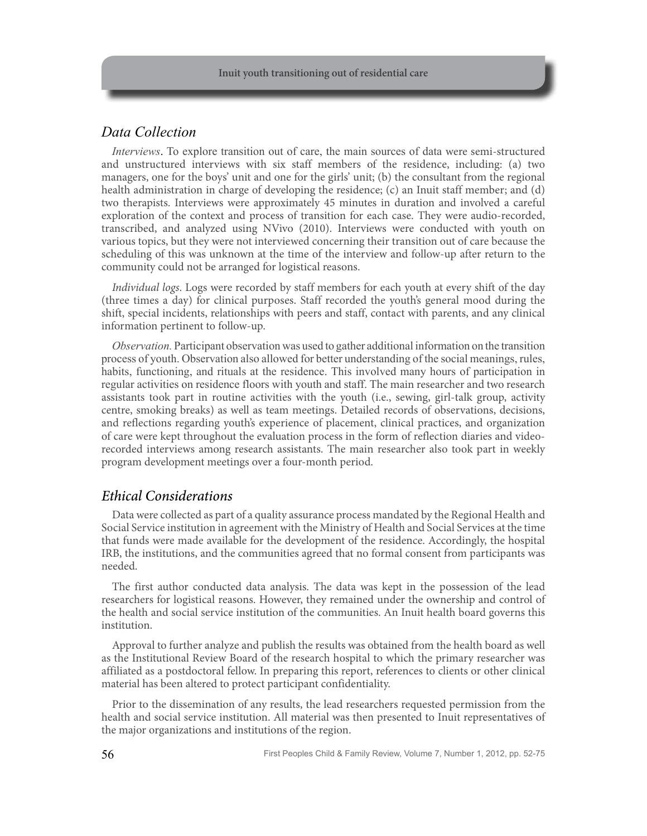### *Data Collection*

*Interviews*. To explore transition out of care, the main sources of data were semi-structured and unstructured interviews with six staff members of the residence, including: (a) two managers, one for the boys' unit and one for the girls' unit; (b) the consultant from the regional health administration in charge of developing the residence; (c) an Inuit staff member; and (d) two therapists. Interviews were approximately 45 minutes in duration and involved a careful exploration of the context and process of transition for each case. They were audio-recorded, transcribed, and analyzed using NVivo (2010). Interviews were conducted with youth on various topics, but they were not interviewed concerning their transition out of care because the scheduling of this was unknown at the time of the interview and follow-up after return to the community could not be arranged for logistical reasons.

*Individual logs*. Logs were recorded by staff members for each youth at every shift of the day (three times a day) for clinical purposes. Staff recorded the youth's general mood during the shift, special incidents, relationships with peers and staff, contact with parents, and any clinical information pertinent to follow-up.

*Observation.* Participant observation was used to gather additional information on the transition process of youth. Observation also allowed for better understanding of the social meanings, rules, habits, functioning, and rituals at the residence. This involved many hours of participation in regular activities on residence floors with youth and staff. The main researcher and two research assistants took part in routine activities with the youth (i.e., sewing, girl-talk group, activity centre, smoking breaks) as well as team meetings. Detailed records of observations, decisions, and reflections regarding youth's experience of placement, clinical practices, and organization of care were kept throughout the evaluation process in the form of reflection diaries and videorecorded interviews among research assistants. The main researcher also took part in weekly program development meetings over a four-month period.

### *Ethical Considerations*

Data were collected as part of a quality assurance process mandated by the Regional Health and Social Service institution in agreement with the Ministry of Health and Social Services at the time that funds were made available for the development of the residence. Accordingly, the hospital IRB, the institutions, and the communities agreed that no formal consent from participants was needed.

The first author conducted data analysis. The data was kept in the possession of the lead researchers for logistical reasons. However, they remained under the ownership and control of the health and social service institution of the communities. An Inuit health board governs this institution.

Approval to further analyze and publish the results was obtained from the health board as well as the Institutional Review Board of the research hospital to which the primary researcher was affiliated as a postdoctoral fellow. In preparing this report, references to clients or other clinical material has been altered to protect participant confidentiality.

Prior to the dissemination of any results, the lead researchers requested permission from the health and social service institution. All material was then presented to Inuit representatives of the major organizations and institutions of the region.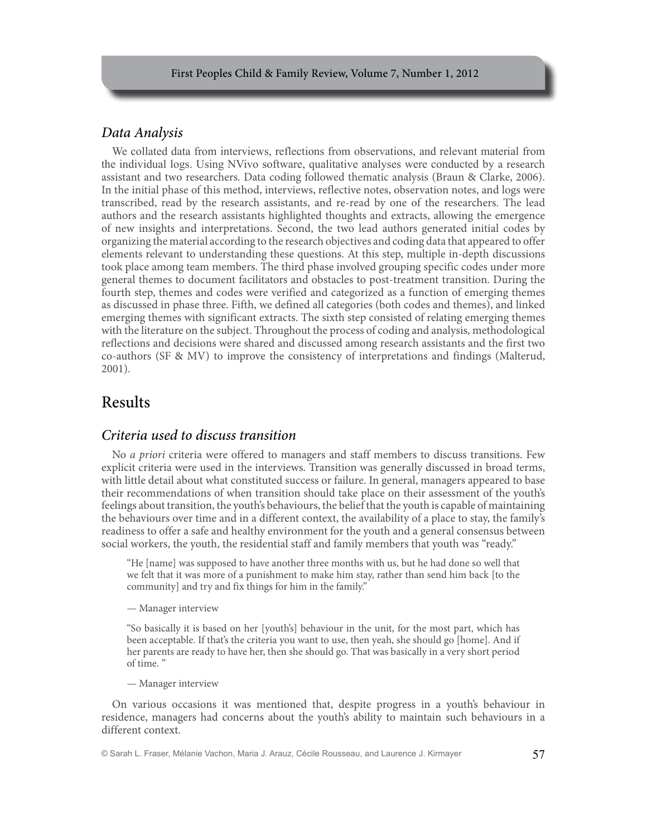### *Data Analysis*

We collated data from interviews, reflections from observations, and relevant material from the individual logs. Using NVivo software, qualitative analyses were conducted by a research assistant and two researchers. Data coding followed thematic analysis (Braun & Clarke, 2006). In the initial phase of this method, interviews, reflective notes, observation notes, and logs were transcribed, read by the research assistants, and re-read by one of the researchers. The lead authors and the research assistants highlighted thoughts and extracts, allowing the emergence of new insights and interpretations. Second, the two lead authors generated initial codes by organizing the material according to the research objectives and coding data that appeared to offer elements relevant to understanding these questions. At this step, multiple in-depth discussions took place among team members. The third phase involved grouping specific codes under more general themes to document facilitators and obstacles to post-treatment transition. During the fourth step, themes and codes were verified and categorized as a function of emerging themes as discussed in phase three. Fifth, we defined all categories (both codes and themes), and linked emerging themes with significant extracts. The sixth step consisted of relating emerging themes with the literature on the subject. Throughout the process of coding and analysis, methodological reflections and decisions were shared and discussed among research assistants and the first two co-authors (SF & MV) to improve the consistency of interpretations and findings (Malterud, 2001).

## Results

### *Criteria used to discuss transition*

No *a priori* criteria were offered to managers and staff members to discuss transitions. Few explicit criteria were used in the interviews. Transition was generally discussed in broad terms, with little detail about what constituted success or failure. In general, managers appeared to base their recommendations of when transition should take place on their assessment of the youth's feelings about transition, the youth's behaviours, the belief that the youth is capable of maintaining the behaviours over time and in a different context, the availability of a place to stay, the family's readiness to offer a safe and healthy environment for the youth and a general consensus between social workers, the youth, the residential staff and family members that youth was "ready."

"He [name] was supposed to have another three months with us, but he had done so well that we felt that it was more of a punishment to make him stay, rather than send him back [to the community] and try and fix things for him in the family."

— Manager interview

"So basically it is based on her [youth's] behaviour in the unit, for the most part, which has been acceptable. If that's the criteria you want to use, then yeah, she should go [home]. And if her parents are ready to have her, then she should go. That was basically in a very short period of time. "

— Manager interview

On various occasions it was mentioned that, despite progress in a youth's behaviour in residence, managers had concerns about the youth's ability to maintain such behaviours in a different context.

© Sarah L. Fraser, Mélanie Vachon, Maria J. Arauz, Cécile Rousseau, and Laurence J. Kirmayer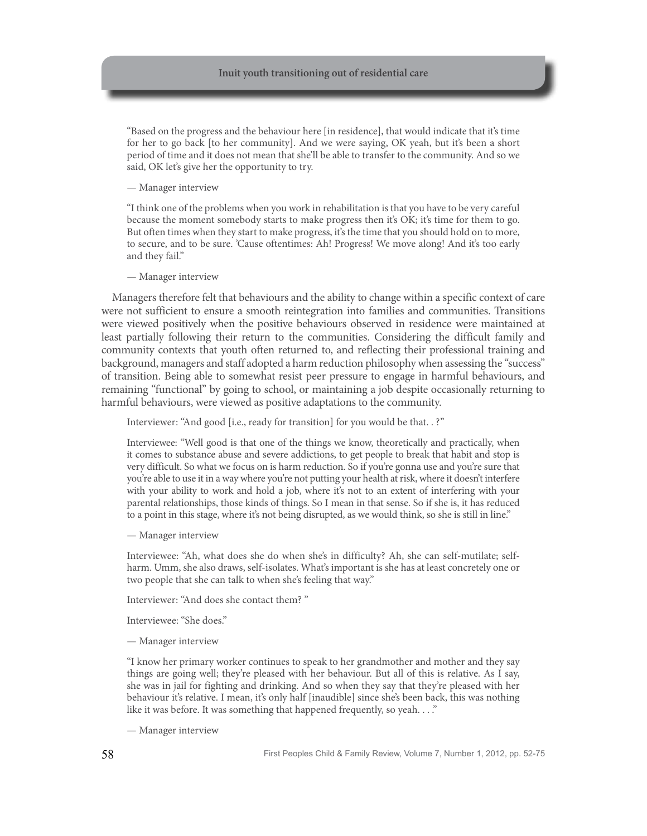"Based on the progress and the behaviour here [in residence], that would indicate that it's time for her to go back [to her community]. And we were saying, OK yeah, but it's been a short period of time and it does not mean that she'll be able to transfer to the community. And so we said, OK let's give her the opportunity to try.

— Manager interview

"I think one of the problems when you work in rehabilitation is that you have to be very careful because the moment somebody starts to make progress then it's OK; it's time for them to go. But often times when they start to make progress, it's the time that you should hold on to more, to secure, and to be sure. 'Cause oftentimes: Ah! Progress! We move along! And it's too early and they fail."

— Manager interview

Managers therefore felt that behaviours and the ability to change within a specific context of care were not sufficient to ensure a smooth reintegration into families and communities. Transitions were viewed positively when the positive behaviours observed in residence were maintained at least partially following their return to the communities. Considering the difficult family and community contexts that youth often returned to, and reflecting their professional training and background, managers and staff adopted a harm reduction philosophy when assessing the "success" of transition. Being able to somewhat resist peer pressure to engage in harmful behaviours, and remaining "functional" by going to school, or maintaining a job despite occasionally returning to harmful behaviours, were viewed as positive adaptations to the community.

Interviewer: "And good [i.e., ready for transition] for you would be that. . ?"

Interviewee: "Well good is that one of the things we know, theoretically and practically, when it comes to substance abuse and severe addictions, to get people to break that habit and stop is very difficult. So what we focus on is harm reduction. So if you're gonna use and you're sure that you're able to use it in a way where you're not putting your health at risk, where it doesn't interfere with your ability to work and hold a job, where it's not to an extent of interfering with your parental relationships, those kinds of things. So I mean in that sense. So if she is, it has reduced to a point in this stage, where it's not being disrupted, as we would think, so she is still in line."

— Manager interview

Interviewee: "Ah, what does she do when she's in difficulty? Ah, she can self-mutilate; selfharm. Umm, she also draws, self-isolates. What's important is she has at least concretely one or two people that she can talk to when she's feeling that way."

Interviewer: "And does she contact them? "

Interviewee: "She does."

— Manager interview

"I know her primary worker continues to speak to her grandmother and mother and they say things are going well; they're pleased with her behaviour. But all of this is relative. As I say, she was in jail for fighting and drinking. And so when they say that they're pleased with her behaviour it's relative. I mean, it's only half [inaudible] since she's been back, this was nothing like it was before. It was something that happened frequently, so yeah. . . ."

— Manager interview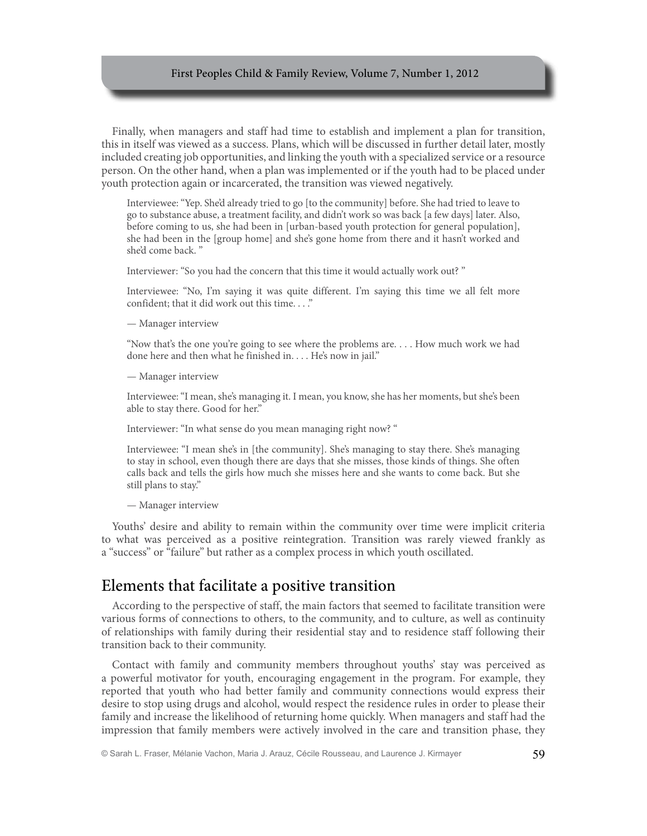Finally, when managers and staff had time to establish and implement a plan for transition, this in itself was viewed as a success. Plans, which will be discussed in further detail later, mostly included creating job opportunities, and linking the youth with a specialized service or a resource person. On the other hand, when a plan was implemented or if the youth had to be placed under youth protection again or incarcerated, the transition was viewed negatively.

Interviewee: "Yep. She'd already tried to go [to the community] before. She had tried to leave to go to substance abuse, a treatment facility, and didn't work so was back [a few days] later. Also, before coming to us, she had been in [urban-based youth protection for general population], she had been in the [group home] and she's gone home from there and it hasn't worked and she'd come back. "

Interviewer: "So you had the concern that this time it would actually work out? "

Interviewee: "No, I'm saying it was quite different. I'm saying this time we all felt more confident; that it did work out this time...."

— Manager interview

"Now that's the one you're going to see where the problems are. . . . How much work we had done here and then what he finished in. . . . He's now in jail."

— Manager interview

Interviewee: "I mean, she's managing it. I mean, you know, she has her moments, but she's been able to stay there. Good for her."

Interviewer: "In what sense do you mean managing right now? "

Interviewee: "I mean she's in [the community]. She's managing to stay there. She's managing to stay in school, even though there are days that she misses, those kinds of things. She often calls back and tells the girls how much she misses here and she wants to come back. But she still plans to stay."

— Manager interview

Youths' desire and ability to remain within the community over time were implicit criteria to what was perceived as a positive reintegration. Transition was rarely viewed frankly as a "success" or "failure" but rather as a complex process in which youth oscillated.

### Elements that facilitate a positive transition

According to the perspective of staff, the main factors that seemed to facilitate transition were various forms of connections to others, to the community, and to culture, as well as continuity of relationships with family during their residential stay and to residence staff following their transition back to their community.

Contact with family and community members throughout youths' stay was perceived as a powerful motivator for youth, encouraging engagement in the program. For example, they reported that youth who had better family and community connections would express their desire to stop using drugs and alcohol, would respect the residence rules in order to please their family and increase the likelihood of returning home quickly. When managers and staff had the impression that family members were actively involved in the care and transition phase, they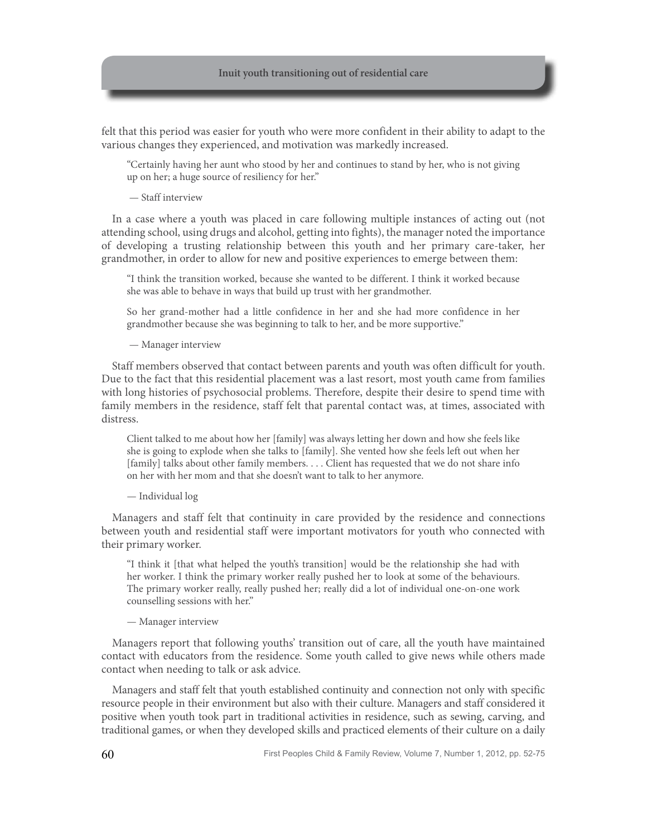felt that this period was easier for youth who were more confident in their ability to adapt to the various changes they experienced, and motivation was markedly increased.

"Certainly having her aunt who stood by her and continues to stand by her, who is not giving up on her; a huge source of resiliency for her."

— Staff interview

In a case where a youth was placed in care following multiple instances of acting out (not attending school, using drugs and alcohol, getting into fights), the manager noted the importance of developing a trusting relationship between this youth and her primary care-taker, her grandmother, in order to allow for new and positive experiences to emerge between them:

"I think the transition worked, because she wanted to be different. I think it worked because she was able to behave in ways that build up trust with her grandmother.

So her grand-mother had a little confidence in her and she had more confidence in her grandmother because she was beginning to talk to her, and be more supportive."

— Manager interview

Staff members observed that contact between parents and youth was often difficult for youth. Due to the fact that this residential placement was a last resort, most youth came from families with long histories of psychosocial problems. Therefore, despite their desire to spend time with family members in the residence, staff felt that parental contact was, at times, associated with distress.

Client talked to me about how her [family] was always letting her down and how she feels like she is going to explode when she talks to [family]. She vented how she feels left out when her [family] talks about other family members. . . . Client has requested that we do not share info on her with her mom and that she doesn't want to talk to her anymore.

— Individual log

Managers and staff felt that continuity in care provided by the residence and connections between youth and residential staff were important motivators for youth who connected with their primary worker.

"I think it [that what helped the youth's transition] would be the relationship she had with her worker. I think the primary worker really pushed her to look at some of the behaviours. The primary worker really, really pushed her; really did a lot of individual one-on-one work counselling sessions with her."

— Manager interview

Managers report that following youths' transition out of care, all the youth have maintained contact with educators from the residence. Some youth called to give news while others made contact when needing to talk or ask advice.

Managers and staff felt that youth established continuity and connection not only with specific resource people in their environment but also with their culture. Managers and staff considered it positive when youth took part in traditional activities in residence, such as sewing, carving, and traditional games, or when they developed skills and practiced elements of their culture on a daily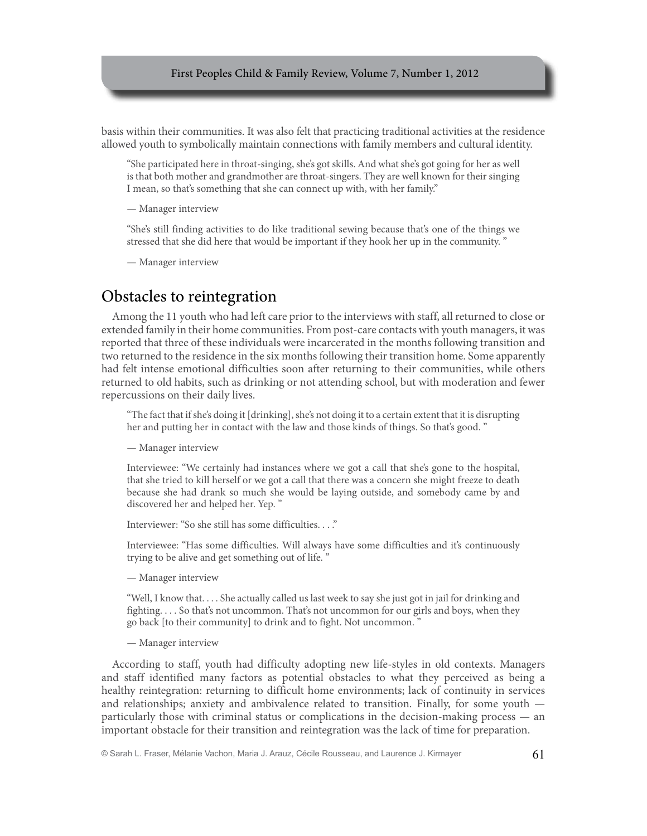basis within their communities. It was also felt that practicing traditional activities at the residence allowed youth to symbolically maintain connections with family members and cultural identity.

"She participated here in throat-singing, she's got skills. And what she's got going for her as well is that both mother and grandmother are throat-singers. They are well known for their singing I mean, so that's something that she can connect up with, with her family."

— Manager interview

"She's still finding activities to do like traditional sewing because that's one of the things we stressed that she did here that would be important if they hook her up in the community. "

— Manager interview

### Obstacles to reintegration

Among the 11 youth who had left care prior to the interviews with staff, all returned to close or extended family in their home communities. From post-care contacts with youth managers, it was reported that three of these individuals were incarcerated in the months following transition and two returned to the residence in the six months following their transition home. Some apparently had felt intense emotional difficulties soon after returning to their communities, while others returned to old habits, such as drinking or not attending school, but with moderation and fewer repercussions on their daily lives.

"The fact that if she's doing it [drinking], she's not doing it to a certain extent that it is disrupting her and putting her in contact with the law and those kinds of things. So that's good. "

— Manager interview

Interviewee: "We certainly had instances where we got a call that she's gone to the hospital, that she tried to kill herself or we got a call that there was a concern she might freeze to death because she had drank so much she would be laying outside, and somebody came by and discovered her and helped her. Yep. "

Interviewer: "So she still has some difficulties. . . ."

Interviewee: "Has some difficulties. Will always have some difficulties and it's continuously trying to be alive and get something out of life. "

— Manager interview

"Well, I know that. . . . She actually called us last week to say she just got in jail for drinking and fighting. . . . So that's not uncommon. That's not uncommon for our girls and boys, when they go back [to their community] to drink and to fight. Not uncommon. "

— Manager interview

According to staff, youth had difficulty adopting new life-styles in old contexts. Managers and staff identified many factors as potential obstacles to what they perceived as being a healthy reintegration: returning to difficult home environments; lack of continuity in services and relationships; anxiety and ambivalence related to transition. Finally, for some youth particularly those with criminal status or complications in the decision-making process — an important obstacle for their transition and reintegration was the lack of time for preparation.

© Sarah L. Fraser, Mélanie Vachon, Maria J. Arauz, Cécile Rousseau, and Laurence J. Kirmayer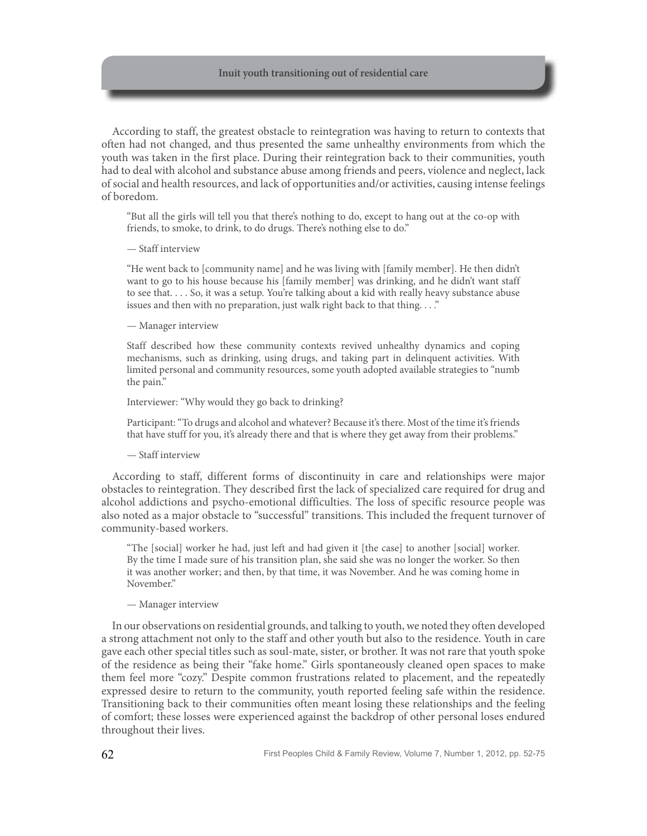According to staff, the greatest obstacle to reintegration was having to return to contexts that often had not changed, and thus presented the same unhealthy environments from which the youth was taken in the first place. During their reintegration back to their communities, youth had to deal with alcohol and substance abuse among friends and peers, violence and neglect, lack of social and health resources, and lack of opportunities and/or activities, causing intense feelings of boredom.

"But all the girls will tell you that there's nothing to do, except to hang out at the co-op with friends, to smoke, to drink, to do drugs. There's nothing else to do."

— Staff interview

"He went back to [community name] and he was living with [family member]. He then didn't want to go to his house because his [family member] was drinking, and he didn't want staff to see that. . . . So, it was a setup. You're talking about a kid with really heavy substance abuse issues and then with no preparation, just walk right back to that thing. . . ."

— Manager interview

Staff described how these community contexts revived unhealthy dynamics and coping mechanisms, such as drinking, using drugs, and taking part in delinquent activities. With limited personal and community resources, some youth adopted available strategies to "numb the pain."

Interviewer: "Why would they go back to drinking?

Participant: "To drugs and alcohol and whatever? Because it's there. Most of the time it's friends that have stuff for you, it's already there and that is where they get away from their problems."

— Staff interview

According to staff, different forms of discontinuity in care and relationships were major obstacles to reintegration. They described first the lack of specialized care required for drug and alcohol addictions and psycho-emotional difficulties. The loss of specific resource people was also noted as a major obstacle to "successful" transitions. This included the frequent turnover of community-based workers.

"The [social] worker he had, just left and had given it [the case] to another [social] worker. By the time I made sure of his transition plan, she said she was no longer the worker. So then it was another worker; and then, by that time, it was November. And he was coming home in November."

#### — Manager interview

In our observations on residential grounds, and talking to youth, we noted they often developed a strong attachment not only to the staff and other youth but also to the residence. Youth in care gave each other special titles such as soul-mate, sister, or brother. It was not rare that youth spoke of the residence as being their "fake home." Girls spontaneously cleaned open spaces to make them feel more "cozy." Despite common frustrations related to placement, and the repeatedly expressed desire to return to the community, youth reported feeling safe within the residence. Transitioning back to their communities often meant losing these relationships and the feeling of comfort; these losses were experienced against the backdrop of other personal loses endured throughout their lives.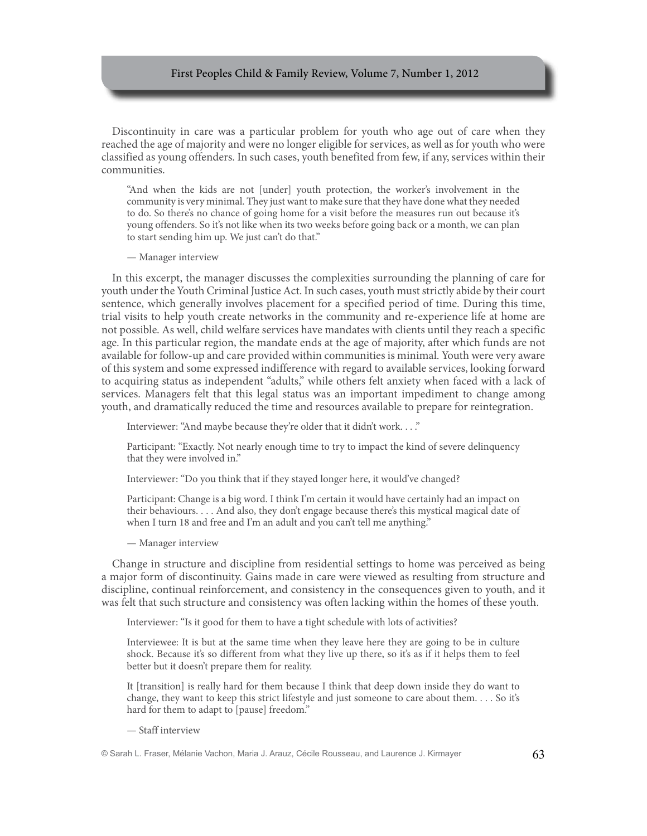Discontinuity in care was a particular problem for youth who age out of care when they reached the age of majority and were no longer eligible for services, as well as for youth who were classified as young offenders. In such cases, youth benefited from few, if any, services within their communities.

"And when the kids are not [under] youth protection, the worker's involvement in the community is very minimal. They just want to make sure that they have done what they needed to do. So there's no chance of going home for a visit before the measures run out because it's young offenders. So it's not like when its two weeks before going back or a month, we can plan to start sending him up. We just can't do that."

— Manager interview

In this excerpt, the manager discusses the complexities surrounding the planning of care for youth under the Youth Criminal Justice Act. In such cases, youth must strictly abide by their court sentence, which generally involves placement for a specified period of time. During this time, trial visits to help youth create networks in the community and re-experience life at home are not possible. As well, child welfare services have mandates with clients until they reach a specific age. In this particular region, the mandate ends at the age of majority, after which funds are not available for follow-up and care provided within communities is minimal. Youth were very aware of this system and some expressed indifference with regard to available services, looking forward to acquiring status as independent "adults," while others felt anxiety when faced with a lack of services. Managers felt that this legal status was an important impediment to change among youth, and dramatically reduced the time and resources available to prepare for reintegration.

Interviewer: "And maybe because they're older that it didn't work. . . ."

Participant: "Exactly. Not nearly enough time to try to impact the kind of severe delinquency that they were involved in."

Interviewer: "Do you think that if they stayed longer here, it would've changed?

Participant: Change is a big word. I think I'm certain it would have certainly had an impact on their behaviours. . . . And also, they don't engage because there's this mystical magical date of when I turn 18 and free and I'm an adult and you can't tell me anything."

— Manager interview

Change in structure and discipline from residential settings to home was perceived as being a major form of discontinuity. Gains made in care were viewed as resulting from structure and discipline, continual reinforcement, and consistency in the consequences given to youth, and it was felt that such structure and consistency was often lacking within the homes of these youth.

Interviewer: "Is it good for them to have a tight schedule with lots of activities?

Interviewee: It is but at the same time when they leave here they are going to be in culture shock. Because it's so different from what they live up there, so it's as if it helps them to feel better but it doesn't prepare them for reality.

It [transition] is really hard for them because I think that deep down inside they do want to change, they want to keep this strict lifestyle and just someone to care about them. . . . So it's hard for them to adapt to [pause] freedom."

— Staff interview

<sup>©</sup> Sarah L. Fraser, Mélanie Vachon, Maria J. Arauz, Cécile Rousseau, and Laurence J. Kirmayer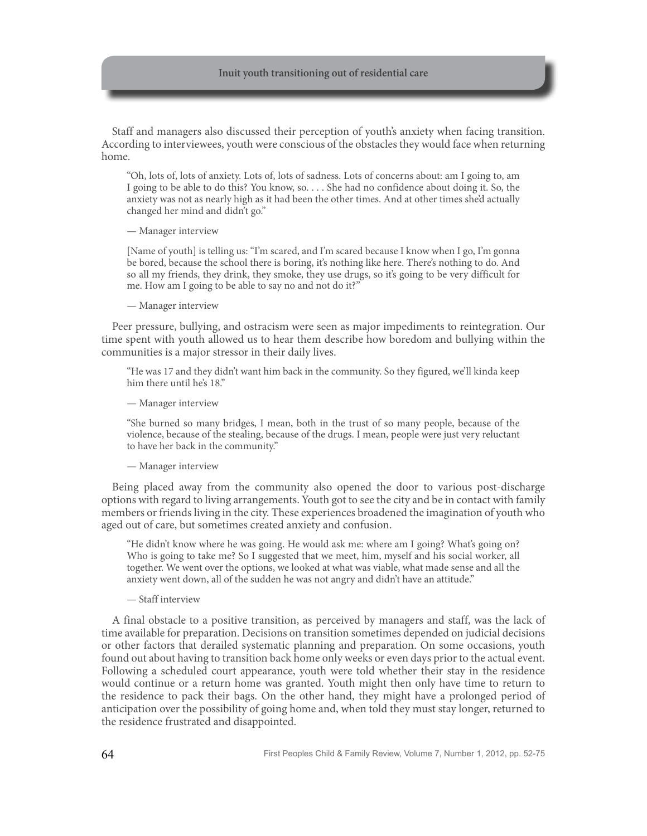Staff and managers also discussed their perception of youth's anxiety when facing transition. According to interviewees, youth were conscious of the obstacles they would face when returning home.

"Oh, lots of, lots of anxiety. Lots of, lots of sadness. Lots of concerns about: am I going to, am I going to be able to do this? You know, so. . . . She had no confidence about doing it. So, the anxiety was not as nearly high as it had been the other times. And at other times she'd actually changed her mind and didn't go."

#### — Manager interview

[Name of youth] is telling us: "I'm scared, and I'm scared because I know when I go, I'm gonna be bored, because the school there is boring, it's nothing like here. There's nothing to do. And so all my friends, they drink, they smoke, they use drugs, so it's going to be very difficult for me. How am I going to be able to say no and not do it?"

#### — Manager interview

Peer pressure, bullying, and ostracism were seen as major impediments to reintegration. Our time spent with youth allowed us to hear them describe how boredom and bullying within the communities is a major stressor in their daily lives.

"He was 17 and they didn't want him back in the community. So they figured, we'll kinda keep him there until he's 18."

— Manager interview

"She burned so many bridges, I mean, both in the trust of so many people, because of the violence, because of the stealing, because of the drugs. I mean, people were just very reluctant to have her back in the community."

#### — Manager interview

Being placed away from the community also opened the door to various post-discharge options with regard to living arrangements. Youth got to see the city and be in contact with family members or friends living in the city. These experiences broadened the imagination of youth who aged out of care, but sometimes created anxiety and confusion.

"He didn't know where he was going. He would ask me: where am I going? What's going on? Who is going to take me? So I suggested that we meet, him, myself and his social worker, all together. We went over the options, we looked at what was viable, what made sense and all the anxiety went down, all of the sudden he was not angry and didn't have an attitude."

#### — Staff interview

A final obstacle to a positive transition, as perceived by managers and staff, was the lack of time available for preparation. Decisions on transition sometimes depended on judicial decisions or other factors that derailed systematic planning and preparation. On some occasions, youth found out about having to transition back home only weeks or even days prior to the actual event. Following a scheduled court appearance, youth were told whether their stay in the residence would continue or a return home was granted. Youth might then only have time to return to the residence to pack their bags. On the other hand, they might have a prolonged period of anticipation over the possibility of going home and, when told they must stay longer, returned to the residence frustrated and disappointed.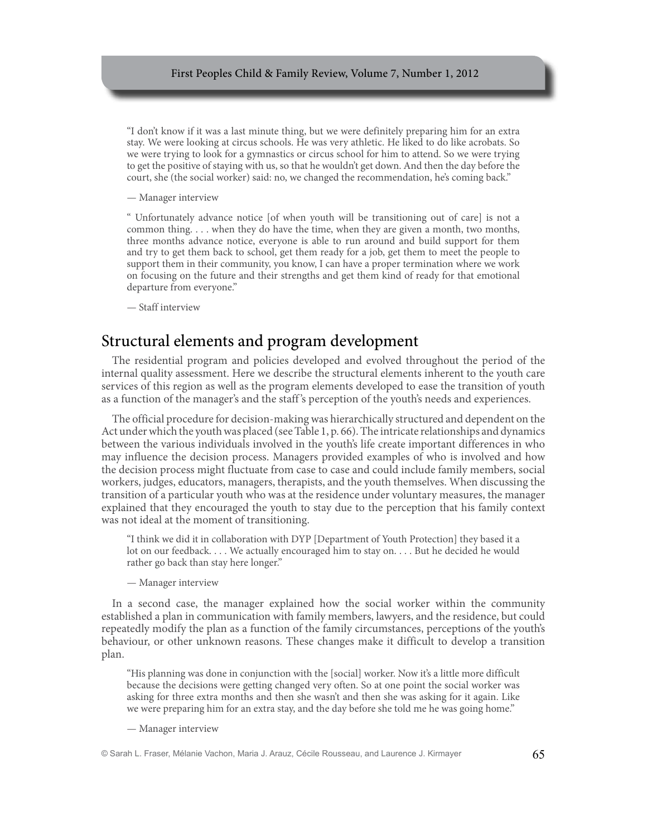"I don't know if it was a last minute thing, but we were definitely preparing him for an extra stay. We were looking at circus schools. He was very athletic. He liked to do like acrobats. So we were trying to look for a gymnastics or circus school for him to attend. So we were trying to get the positive of staying with us, so that he wouldn't get down. And then the day before the court, she (the social worker) said: no, we changed the recommendation, he's coming back."

— Manager interview

" Unfortunately advance notice [of when youth will be transitioning out of care] is not a common thing. . . . when they do have the time, when they are given a month, two months, three months advance notice, everyone is able to run around and build support for them and try to get them back to school, get them ready for a job, get them to meet the people to support them in their community, you know, I can have a proper termination where we work on focusing on the future and their strengths and get them kind of ready for that emotional departure from everyone."

— Staff interview

### Structural elements and program development

The residential program and policies developed and evolved throughout the period of the internal quality assessment. Here we describe the structural elements inherent to the youth care services of this region as well as the program elements developed to ease the transition of youth as a function of the manager's and the staff 's perception of the youth's needs and experiences.

The official procedure for decision-making was hierarchically structured and dependent on the Act under which the youth was placed (see Table 1, p. 66). The intricate relationships and dynamics between the various individuals involved in the youth's life create important differences in who may influence the decision process. Managers provided examples of who is involved and how the decision process might fluctuate from case to case and could include family members, social workers, judges, educators, managers, therapists, and the youth themselves. When discussing the transition of a particular youth who was at the residence under voluntary measures, the manager explained that they encouraged the youth to stay due to the perception that his family context was not ideal at the moment of transitioning.

"I think we did it in collaboration with DYP [Department of Youth Protection] they based it a lot on our feedback. . . . We actually encouraged him to stay on. . . . But he decided he would rather go back than stay here longer."

— Manager interview

In a second case, the manager explained how the social worker within the community established a plan in communication with family members, lawyers, and the residence, but could repeatedly modify the plan as a function of the family circumstances, perceptions of the youth's behaviour, or other unknown reasons. These changes make it difficult to develop a transition plan.

"His planning was done in conjunction with the [social] worker. Now it's a little more difficult because the decisions were getting changed very often. So at one point the social worker was asking for three extra months and then she wasn't and then she was asking for it again. Like we were preparing him for an extra stay, and the day before she told me he was going home."

— Manager interview

<sup>©</sup> Sarah L. Fraser, Mélanie Vachon, Maria J. Arauz, Cécile Rousseau, and Laurence J. Kirmayer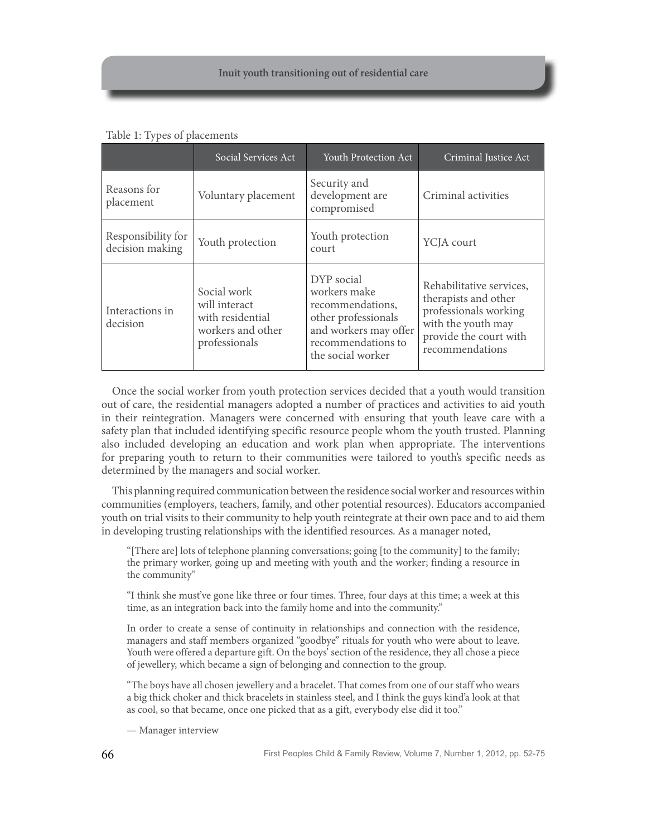Table 1: Types of placements

|                                       | Social Services Act                                                                    | Youth Protection Act                                                                                                                      | Criminal Justice Act                                                                                                                         |
|---------------------------------------|----------------------------------------------------------------------------------------|-------------------------------------------------------------------------------------------------------------------------------------------|----------------------------------------------------------------------------------------------------------------------------------------------|
| Reasons for<br>placement              | Voluntary placement                                                                    | Security and<br>development are<br>compromised                                                                                            | Criminal activities                                                                                                                          |
| Responsibility for<br>decision making | Youth protection                                                                       | Youth protection<br>court                                                                                                                 | YCJA court                                                                                                                                   |
| Interactions in<br>decision           | Social work<br>will interact<br>with residential<br>workers and other<br>professionals | DYP social<br>workers make<br>recommendations,<br>other professionals<br>and workers may offer<br>recommendations to<br>the social worker | Rehabilitative services,<br>therapists and other<br>professionals working<br>with the youth may<br>provide the court with<br>recommendations |

Once the social worker from youth protection services decided that a youth would transition out of care, the residential managers adopted a number of practices and activities to aid youth in their reintegration. Managers were concerned with ensuring that youth leave care with a safety plan that included identifying specific resource people whom the youth trusted. Planning also included developing an education and work plan when appropriate. The interventions for preparing youth to return to their communities were tailored to youth's specific needs as determined by the managers and social worker.

This planning required communication between the residence social worker and resources within communities (employers, teachers, family, and other potential resources). Educators accompanied youth on trial visits to their community to help youth reintegrate at their own pace and to aid them in developing trusting relationships with the identified resources. As a manager noted,

"[There are] lots of telephone planning conversations; going [to the community] to the family; the primary worker, going up and meeting with youth and the worker; finding a resource in the community"

"I think she must've gone like three or four times. Three, four days at this time; a week at this time, as an integration back into the family home and into the community."

In order to create a sense of continuity in relationships and connection with the residence, managers and staff members organized "goodbye" rituals for youth who were about to leave. Youth were offered a departure gift. On the boys' section of the residence, they all chose a piece of jewellery, which became a sign of belonging and connection to the group.

"The boys have all chosen jewellery and a bracelet. That comes from one of our staff who wears a big thick choker and thick bracelets in stainless steel, and I think the guys kind'a look at that as cool, so that became, once one picked that as a gift, everybody else did it too."

— Manager interview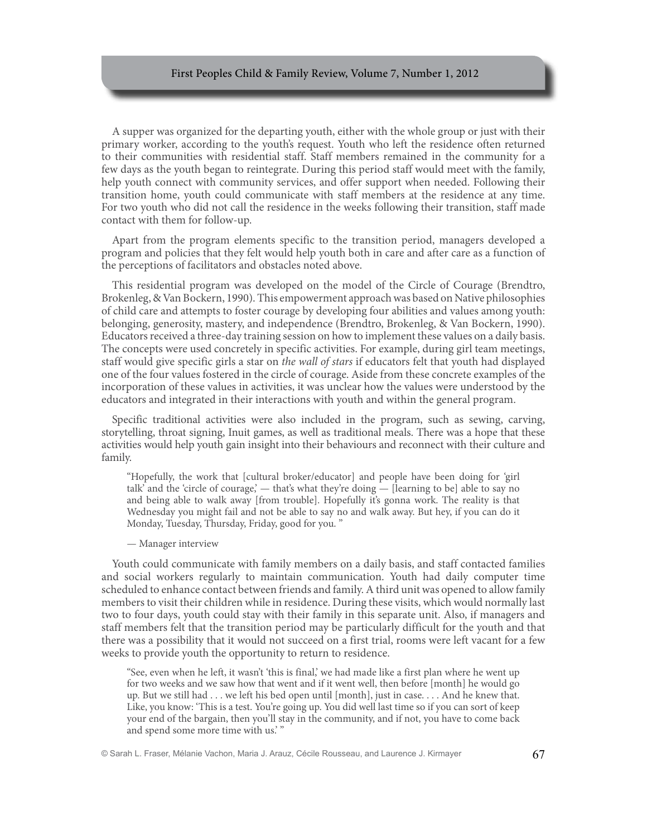A supper was organized for the departing youth, either with the whole group or just with their primary worker, according to the youth's request. Youth who left the residence often returned to their communities with residential staff. Staff members remained in the community for a few days as the youth began to reintegrate. During this period staff would meet with the family, help youth connect with community services, and offer support when needed. Following their transition home, youth could communicate with staff members at the residence at any time. For two youth who did not call the residence in the weeks following their transition, staff made contact with them for follow-up.

Apart from the program elements specific to the transition period, managers developed a program and policies that they felt would help youth both in care and after care as a function of the perceptions of facilitators and obstacles noted above.

This residential program was developed on the model of the Circle of Courage (Brendtro, Brokenleg, & Van Bockern, 1990). This empowerment approach was based on Native philosophies of child care and attempts to foster courage by developing four abilities and values among youth: belonging, generosity, mastery, and independence (Brendtro, Brokenleg, & Van Bockern, 1990). Educators received a three-day training session on how to implement these values on a daily basis. The concepts were used concretely in specific activities. For example, during girl team meetings, staff would give specific girls a star on *the wall of stars* if educators felt that youth had displayed one of the four values fostered in the circle of courage. Aside from these concrete examples of the incorporation of these values in activities, it was unclear how the values were understood by the educators and integrated in their interactions with youth and within the general program.

Specific traditional activities were also included in the program, such as sewing, carving, storytelling, throat signing, Inuit games, as well as traditional meals. There was a hope that these activities would help youth gain insight into their behaviours and reconnect with their culture and family.

"Hopefully, the work that [cultural broker/educator] and people have been doing for 'girl talk' and the 'circle of courage',  $-$  that's what they're doing  $-$  [learning to be] able to say no and being able to walk away [from trouble]. Hopefully it's gonna work. The reality is that Wednesday you might fail and not be able to say no and walk away. But hey, if you can do it Monday, Tuesday, Thursday, Friday, good for you. "

#### — Manager interview

Youth could communicate with family members on a daily basis, and staff contacted families and social workers regularly to maintain communication. Youth had daily computer time scheduled to enhance contact between friends and family. A third unit was opened to allow family members to visit their children while in residence. During these visits, which would normally last two to four days, youth could stay with their family in this separate unit. Also, if managers and staff members felt that the transition period may be particularly difficult for the youth and that there was a possibility that it would not succeed on a first trial, rooms were left vacant for a few weeks to provide youth the opportunity to return to residence.

"See, even when he left, it wasn't 'this is final,' we had made like a first plan where he went up for two weeks and we saw how that went and if it went well, then before [month] he would go up. But we still had . . . we left his bed open until [month], just in case. . . . And he knew that. Like, you know: 'This is a test. You're going up. You did well last time so if you can sort of keep your end of the bargain, then you'll stay in the community, and if not, you have to come back and spend some more time with us.' "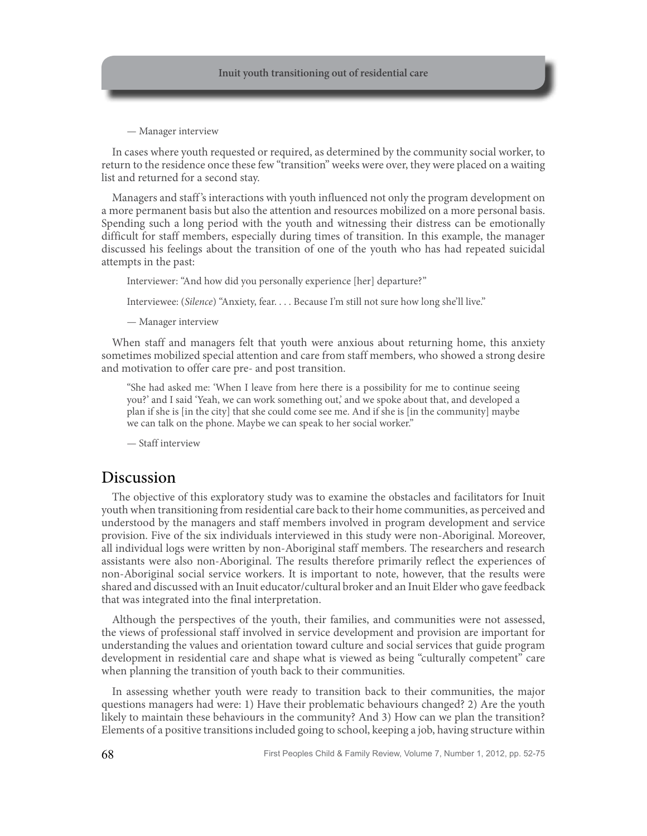— Manager interview

In cases where youth requested or required, as determined by the community social worker, to return to the residence once these few "transition" weeks were over, they were placed on a waiting list and returned for a second stay.

Managers and staff 's interactions with youth influenced not only the program development on a more permanent basis but also the attention and resources mobilized on a more personal basis. Spending such a long period with the youth and witnessing their distress can be emotionally difficult for staff members, especially during times of transition. In this example, the manager discussed his feelings about the transition of one of the youth who has had repeated suicidal attempts in the past:

Interviewer: "And how did you personally experience [her] departure?"

Interviewee: (*Silence*) "Anxiety, fear. . . . Because I'm still not sure how long she'll live."

— Manager interview

When staff and managers felt that youth were anxious about returning home, this anxiety sometimes mobilized special attention and care from staff members, who showed a strong desire and motivation to offer care pre- and post transition.

"She had asked me: 'When I leave from here there is a possibility for me to continue seeing you?' and I said 'Yeah, we can work something out,' and we spoke about that, and developed a plan if she is [in the city] that she could come see me. And if she is [in the community] maybe we can talk on the phone. Maybe we can speak to her social worker."

— Staff interview

### Discussion

The objective of this exploratory study was to examine the obstacles and facilitators for Inuit youth when transitioning from residential care back to their home communities, as perceived and understood by the managers and staff members involved in program development and service provision. Five of the six individuals interviewed in this study were non-Aboriginal. Moreover, all individual logs were written by non-Aboriginal staff members. The researchers and research assistants were also non-Aboriginal. The results therefore primarily reflect the experiences of non-Aboriginal social service workers. It is important to note, however, that the results were shared and discussed with an Inuit educator/cultural broker and an Inuit Elder who gave feedback that was integrated into the final interpretation.

Although the perspectives of the youth, their families, and communities were not assessed, the views of professional staff involved in service development and provision are important for understanding the values and orientation toward culture and social services that guide program development in residential care and shape what is viewed as being "culturally competent" care when planning the transition of youth back to their communities.

In assessing whether youth were ready to transition back to their communities, the major questions managers had were: 1) Have their problematic behaviours changed? 2) Are the youth likely to maintain these behaviours in the community? And 3) How can we plan the transition? Elements of a positive transitions included going to school, keeping a job, having structure within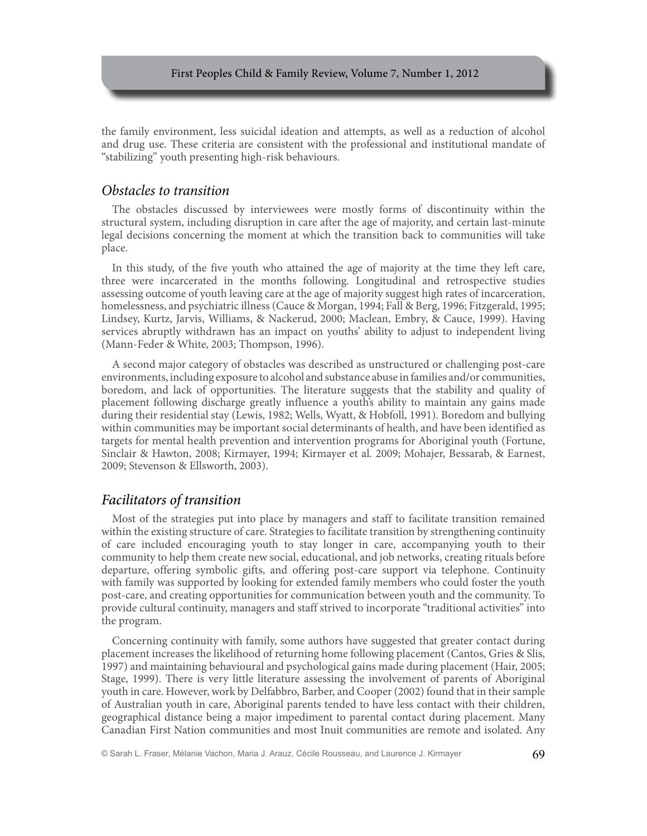the family environment, less suicidal ideation and attempts, as well as a reduction of alcohol and drug use. These criteria are consistent with the professional and institutional mandate of "stabilizing" youth presenting high-risk behaviours.

### *Obstacles to transition*

The obstacles discussed by interviewees were mostly forms of discontinuity within the structural system, including disruption in care after the age of majority, and certain last-minute legal decisions concerning the moment at which the transition back to communities will take place.

In this study, of the five youth who attained the age of majority at the time they left care, three were incarcerated in the months following. Longitudinal and retrospective studies assessing outcome of youth leaving care at the age of majority suggest high rates of incarceration, homelessness, and psychiatric illness (Cauce & Morgan, 1994; Fall & Berg, 1996; Fitzgerald, 1995; Lindsey, Kurtz, Jarvis, Williams, & Nackerud, 2000; Maclean, Embry, & Cauce, 1999). Having services abruptly withdrawn has an impact on youths' ability to adjust to independent living (Mann-Feder & White, 2003; Thompson, 1996).

A second major category of obstacles was described as unstructured or challenging post-care environments, including exposure to alcohol and substance abuse in families and/or communities, boredom, and lack of opportunities. The literature suggests that the stability and quality of placement following discharge greatly influence a youth's ability to maintain any gains made during their residential stay (Lewis, 1982; Wells, Wyatt, & Hobfoll, 1991). Boredom and bullying within communities may be important social determinants of health, and have been identified as targets for mental health prevention and intervention programs for Aboriginal youth (Fortune, Sinclair & Hawton, 2008; Kirmayer, 1994; Kirmayer et al. 2009; Mohajer, Bessarab, & Earnest, 2009; Stevenson & Ellsworth, 2003).

### *Facilitators of transition*

Most of the strategies put into place by managers and staff to facilitate transition remained within the existing structure of care. Strategies to facilitate transition by strengthening continuity of care included encouraging youth to stay longer in care, accompanying youth to their community to help them create new social, educational, and job networks, creating rituals before departure, offering symbolic gifts, and offering post-care support via telephone. Continuity with family was supported by looking for extended family members who could foster the youth post-care, and creating opportunities for communication between youth and the community. To provide cultural continuity, managers and staff strived to incorporate "traditional activities" into the program.

Concerning continuity with family, some authors have suggested that greater contact during placement increases the likelihood of returning home following placement (Cantos, Gries & Slis, 1997) and maintaining behavioural and psychological gains made during placement (Hair, 2005; Stage, 1999). There is very little literature assessing the involvement of parents of Aboriginal youth in care. However, work by Delfabbro, Barber, and Cooper (2002) found that in their sample of Australian youth in care, Aboriginal parents tended to have less contact with their children, geographical distance being a major impediment to parental contact during placement. Many Canadian First Nation communities and most Inuit communities are remote and isolated. Any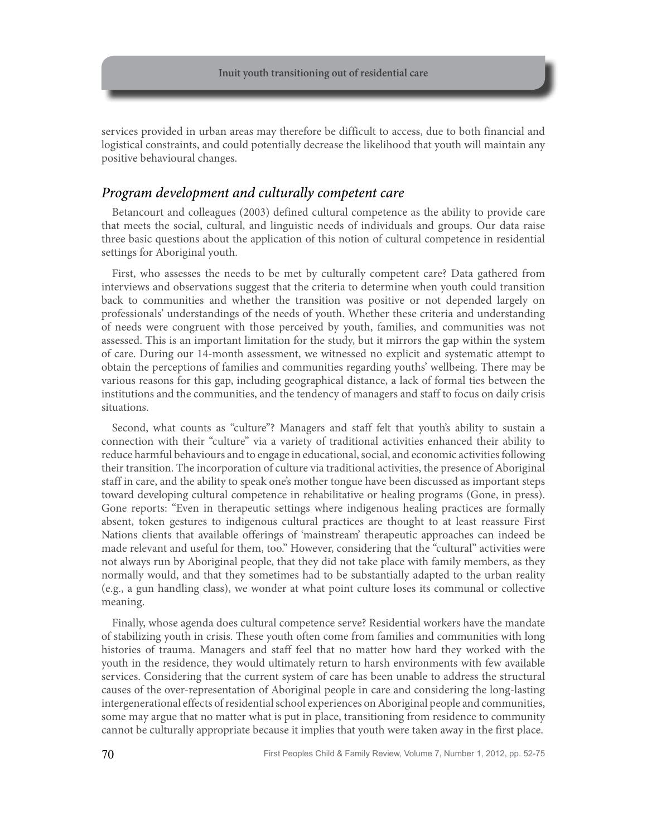services provided in urban areas may therefore be difficult to access, due to both financial and logistical constraints, and could potentially decrease the likelihood that youth will maintain any positive behavioural changes.

### *Program development and culturally competent care*

Betancourt and colleagues (2003) defined cultural competence as the ability to provide care that meets the social, cultural, and linguistic needs of individuals and groups. Our data raise three basic questions about the application of this notion of cultural competence in residential settings for Aboriginal youth.

First, who assesses the needs to be met by culturally competent care? Data gathered from interviews and observations suggest that the criteria to determine when youth could transition back to communities and whether the transition was positive or not depended largely on professionals' understandings of the needs of youth. Whether these criteria and understanding of needs were congruent with those perceived by youth, families, and communities was not assessed. This is an important limitation for the study, but it mirrors the gap within the system of care. During our 14-month assessment, we witnessed no explicit and systematic attempt to obtain the perceptions of families and communities regarding youths' wellbeing. There may be various reasons for this gap, including geographical distance, a lack of formal ties between the institutions and the communities, and the tendency of managers and staff to focus on daily crisis situations.

Second, what counts as "culture"? Managers and staff felt that youth's ability to sustain a connection with their "culture" via a variety of traditional activities enhanced their ability to reduce harmful behaviours and to engage in educational, social, and economic activities following their transition. The incorporation of culture via traditional activities, the presence of Aboriginal staff in care, and the ability to speak one's mother tongue have been discussed as important steps toward developing cultural competence in rehabilitative or healing programs (Gone, in press). Gone reports: "Even in therapeutic settings where indigenous healing practices are formally absent, token gestures to indigenous cultural practices are thought to at least reassure First Nations clients that available offerings of 'mainstream' therapeutic approaches can indeed be made relevant and useful for them, too." However, considering that the "cultural" activities were not always run by Aboriginal people, that they did not take place with family members, as they normally would, and that they sometimes had to be substantially adapted to the urban reality (e.g., a gun handling class), we wonder at what point culture loses its communal or collective meaning.

Finally, whose agenda does cultural competence serve? Residential workers have the mandate of stabilizing youth in crisis. These youth often come from families and communities with long histories of trauma. Managers and staff feel that no matter how hard they worked with the youth in the residence, they would ultimately return to harsh environments with few available services. Considering that the current system of care has been unable to address the structural causes of the over-representation of Aboriginal people in care and considering the long-lasting intergenerational effects of residential school experiences on Aboriginal people and communities, some may argue that no matter what is put in place, transitioning from residence to community cannot be culturally appropriate because it implies that youth were taken away in the first place.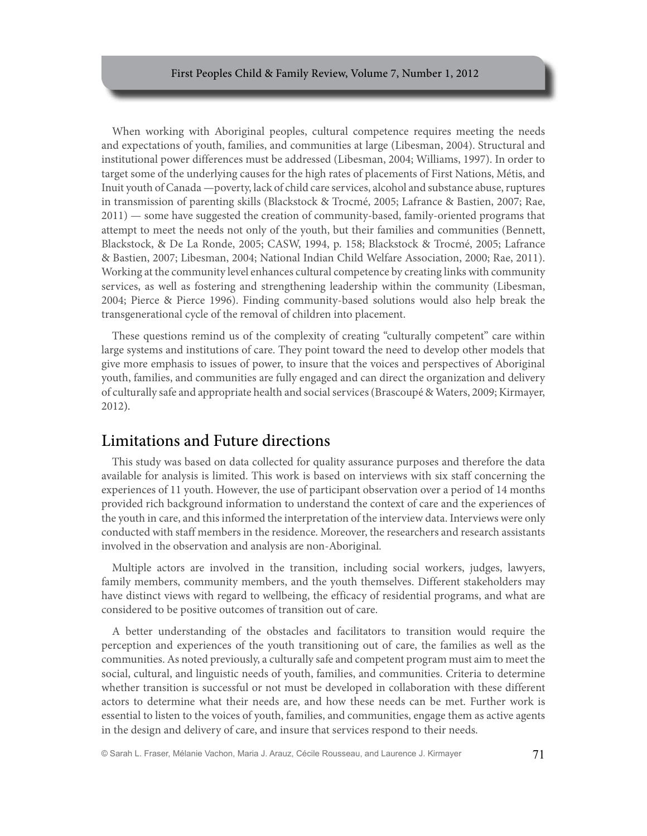When working with Aboriginal peoples, cultural competence requires meeting the needs and expectations of youth, families, and communities at large (Libesman, 2004). Structural and institutional power differences must be addressed (Libesman, 2004; Williams, 1997). In order to target some of the underlying causes for the high rates of placements of First Nations, Métis, and Inuit youth of Canada —poverty, lack of child care services, alcohol and substance abuse, ruptures in transmission of parenting skills (Blackstock & Trocmé, 2005; Lafrance & Bastien, 2007; Rae, 2011) — some have suggested the creation of community-based, family-oriented programs that attempt to meet the needs not only of the youth, but their families and communities (Bennett, Blackstock, & De La Ronde, 2005; CASW, 1994, p. 158; Blackstock & Trocmé, 2005; Lafrance & Bastien, 2007; Libesman, 2004; National Indian Child Welfare Association, 2000; Rae, 2011). Working at the community level enhances cultural competence by creating links with community services, as well as fostering and strengthening leadership within the community (Libesman, 2004; Pierce & Pierce 1996). Finding community-based solutions would also help break the transgenerational cycle of the removal of children into placement.

These questions remind us of the complexity of creating "culturally competent" care within large systems and institutions of care. They point toward the need to develop other models that give more emphasis to issues of power, to insure that the voices and perspectives of Aboriginal youth, families, and communities are fully engaged and can direct the organization and delivery of culturally safe and appropriate health and social services (Brascoupé & Waters, 2009; Kirmayer, 2012).

### Limitations and Future directions

This study was based on data collected for quality assurance purposes and therefore the data available for analysis is limited. This work is based on interviews with six staff concerning the experiences of 11 youth. However, the use of participant observation over a period of 14 months provided rich background information to understand the context of care and the experiences of the youth in care, and this informed the interpretation of the interview data. Interviews were only conducted with staff members in the residence. Moreover, the researchers and research assistants involved in the observation and analysis are non-Aboriginal.

Multiple actors are involved in the transition, including social workers, judges, lawyers, family members, community members, and the youth themselves. Different stakeholders may have distinct views with regard to wellbeing, the efficacy of residential programs, and what are considered to be positive outcomes of transition out of care.

A better understanding of the obstacles and facilitators to transition would require the perception and experiences of the youth transitioning out of care, the families as well as the communities. As noted previously, a culturally safe and competent program must aim to meet the social, cultural, and linguistic needs of youth, families, and communities. Criteria to determine whether transition is successful or not must be developed in collaboration with these different actors to determine what their needs are, and how these needs can be met. Further work is essential to listen to the voices of youth, families, and communities, engage them as active agents in the design and delivery of care, and insure that services respond to their needs.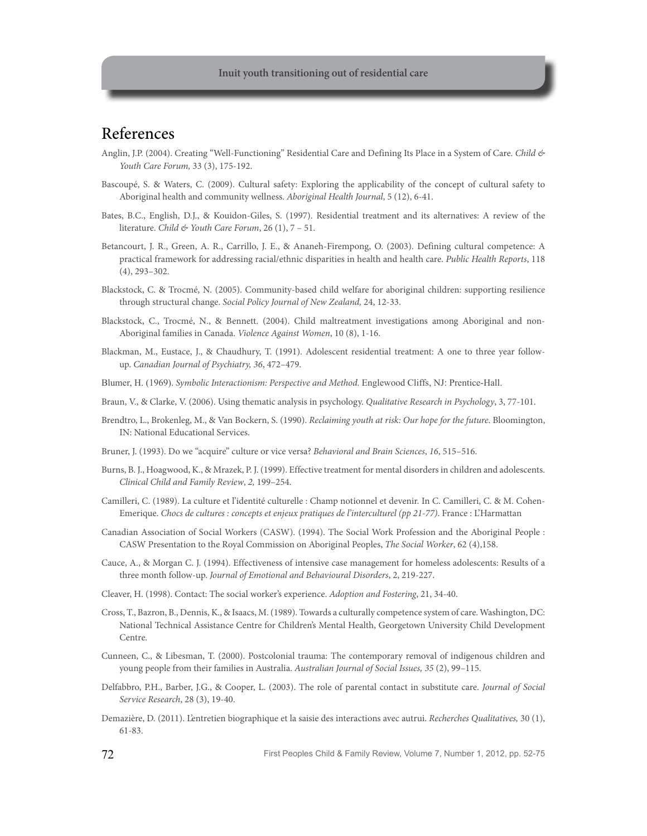# References

- Anglin, J.P. (2004). Creating "Well-Functioning" Residential Care and Defining Its Place in a System of Care. *Child & Youth Care Forum,* 33 (3), 175-192.
- Bascoupé, S. & Waters, C. (2009). Cultural safety: Exploring the applicability of the concept of cultural safety to Aboriginal health and community wellness. *Aboriginal Health Journal*, 5 (12), 6-41.
- Bates, B.C., English, D.J., & Kouidon-Giles, S. (1997). Residential treatment and its alternatives: A review of the literature. *Child & Youth Care Forum*, 26 (1), 7 – 51.
- Betancourt, J. R., Green, A. R., Carrillo, J. E., & Ananeh-Firempong, O. (2003). Defining cultural competence: A practical framework for addressing racial/ethnic disparities in health and health care. *Public Health Reports*, 118 (4), 293–302.
- Blackstock, C. & Trocmé, N. (2005). Community-based child welfare for aboriginal children: supporting resilience through structural change. *Social Policy Journal of New Zealand,* 24, 12-33.
- Blackstock, C., Trocmé, N., & Bennett. (2004). Child maltreatment investigations among Aboriginal and non-Aboriginal families in Canada. *Violence Against Women*, 10 (8), 1-16.
- Blackman, M., Eustace, J., & Chaudhury, T. (1991). Adolescent residential treatment: A one to three year followup. *Canadian Journal of Psychiatry, 36*, 472–479.
- Blumer, H. (1969). *Symbolic Interactionism: Perspective and Method.* Englewood Cliffs, NJ: Prentice-Hall.
- Braun, V., & Clarke, V. (2006). Using thematic analysis in psychology. *Qualitative Research in Psychology*, 3, 77-101.
- Brendtro, L., Brokenleg, M., & Van Bockern, S. (1990). *Reclaiming youth at risk: Our hope for the future*. Bloomington, IN: National Educational Services.
- Bruner, J. (1993). Do we "acquire" culture or vice versa? *Behavioral and Brain Sciences*, 16, 515-516.
- Burns, B. J., Hoagwood, K., & Mrazek, P. J. (1999). Effective treatment for mental disorders in children and adolescents. *Clinical Child and Family Review*, *2,* 199–254.
- Camilleri, C. (1989). La culture et l'identité culturelle : Champ notionnel et devenir. In C. Camilleri, C. & M. Cohen-Emerique. *Chocs de cultures : concepts et enjeux pratiques de l'interculturel (pp 21-77)*. France : L'Harmattan
- Canadian Association of Social Workers (CASW). (1994). The Social Work Profession and the Aboriginal People : CASW Presentation to the Royal Commission on Aboriginal Peoples, *The Social Worker*, 62 (4),158.
- Cauce, A., & Morgan C. J. (1994). Effectiveness of intensive case management for homeless adolescents: Results of a three month follow-up. *Journal of Emotional and Behavioural Disorders*, 2, 219-227.
- Cleaver, H. (1998). Contact: The social worker's experience. *Adoption and Fostering*, 21, 34-40.
- Cross, T., Bazron, B., Dennis, K., & Isaacs, M. (1989). Towards a culturally competence system of care. Washington, DC: National Technical Assistance Centre for Children's Mental Health, Georgetown University Child Development Centre.
- Cunneen, C., & Libesman, T. (2000). Postcolonial trauma: The contemporary removal of indigenous children and young people from their families in Australia. *Australian Journal of Social Issues, 35* (2), 99–115.
- Delfabbro, P.H., Barber, J.G., & Cooper, L. (2003). The role of parental contact in substitute care. *Journal of Social Service Research*, 28 (3), 19-40.
- Demazière, D. (2011). L'entretien biographique et la saisie des interactions avec autrui. *Recherches Qualitatives,* 30 (1), 61-83.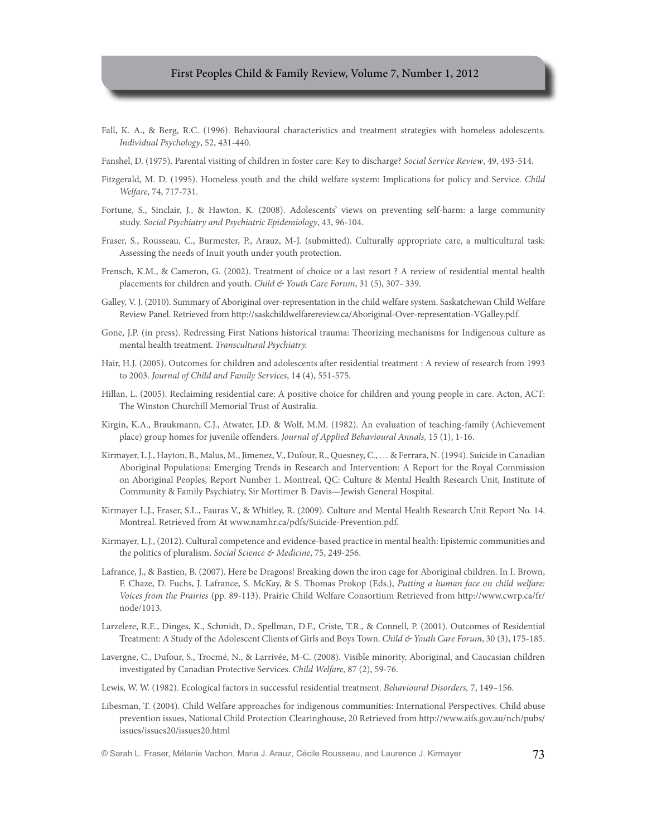- Fall, K. A., & Berg, R.C. (1996). Behavioural characteristics and treatment strategies with homeless adolescents. *Individual Psychology*, 52, 431-440.
- Fanshel, D. (1975). Parental visiting of children in foster care: Key to discharge? *Social Service Review*, 49, 493-514.
- Fitzgerald, M. D. (1995). Homeless youth and the child welfare system: Implications for policy and Service. *Child Welfare*, 74, 717-731.
- Fortune, S., Sinclair, J., & Hawton, K. (2008). Adolescents' views on preventing self-harm: a large community study. *Social Psychiatry and Psychiatric Epidemiology*, 43, 96-104.
- Fraser, S., Rousseau, C., Burmester, P., Arauz, M-J. (submitted). Culturally appropriate care, a multicultural task: Assessing the needs of Inuit youth under youth protection.
- Frensch, K.M., & Cameron, G. (2002). Treatment of choice or a last resort ? A review of residential mental health placements for children and youth. *Child & Youth Care Forum*, 31 (5), 307- 339.
- Galley, V. J. (2010). Summary of Aboriginal over-representation in the child welfare system. Saskatchewan Child Welfare Review Panel. Retrieved from http://saskchildwelfarereview.ca/Aboriginal-Over-representation-VGalley.pdf.
- Gone, J.P. (in press). Redressing First Nations historical trauma: Theorizing mechanisms for Indigenous culture as mental health treatment. *Transcultural Psychiatry.*
- Hair, H.J. (2005). Outcomes for children and adolescents after residential treatment : A review of research from 1993 to 2003. *Journal of Child and Family Services*, 14 (4), 551-575.
- Hillan, L. (2005). Reclaiming residential care: A positive choice for children and young people in care. Acton, ACT: The Winston Churchill Memorial Trust of Australia.
- Kirgin, K.A., Braukmann, C.J., Atwater, J.D. & Wolf, M.M. (1982). An evaluation of teaching-family (Achievement place) group homes for juvenile offenders. *Journal of Applied Behavioural Annals,* 15 (1), 1-16.
- Kirmayer, L.J., Hayton, B., Malus, M., Jimenez, V., Dufour, R., Quesney, C., … & Ferrara, N. (1994). Suicide in Canadian Aboriginal Populations: Emerging Trends in Research and Intervention: A Report for the Royal Commission on Aboriginal Peoples, Report Number 1. Montreal, QC: Culture & Mental Health Research Unit, Institute of Community & Family Psychiatry, Sir Mortimer B. Davis—Jewish General Hospital.
- Kirmayer L.J., Fraser, S.L., Fauras V., & Whitley, R. (2009). Culture and Mental Health Research Unit Report No. 14. Montreal. Retrieved from At www.namhr.ca/pdfs/Suicide-Prevention.pdf.
- Kirmayer, L.J., (2012). Cultural competence and evidence-based practice in mental health: Epistemic communities and the politics of pluralism. *Social Science & Medicine*, 75, 249-256.
- Lafrance, J., & Bastien, B. (2007). Here be Dragons! Breaking down the iron cage for Aboriginal children. In I. Brown, F. Chaze, D. Fuchs, J. Lafrance, S. McKay, & S. Thomas Prokop (Eds.), *Putting a human face on child welfare: Voices from the Prairies* (pp. 89-113). Prairie Child Welfare Consortium Retrieved from http://www.cwrp.ca/fr/ node/1013.
- Larzelere, R.E., Dinges, K., Schmidt, D., Spellman, D.F., Criste, T.R., & Connell, P. (2001). Outcomes of Residential Treatment: A Study of the Adolescent Clients of Girls and Boys Town. *Child & Youth Care Forum*, 30 (3), 175-185.
- Lavergne, C., Dufour, S., Trocmé, N., & Larrivée, M-C. (2008). Visible minority, Aboriginal, and Caucasian children investigated by Canadian Protective Services. *Child Welfare,* 87 (2), 59-76.
- Lewis, W. W. (1982). Ecological factors in successful residential treatment. *Behavioural Disorders,* 7, 149–156.
- Libesman, T. (2004). Child Welfare approaches for indigenous communities: International Perspectives. Child abuse prevention issues, National Child Protection Clearinghouse, 20 Retrieved from http://www.aifs.gov.au/nch/pubs/ issues/issues20/issues20.html

© Sarah L. Fraser, Mélanie Vachon, Maria J. Arauz, Cécile Rousseau, and Laurence J. Kirmayer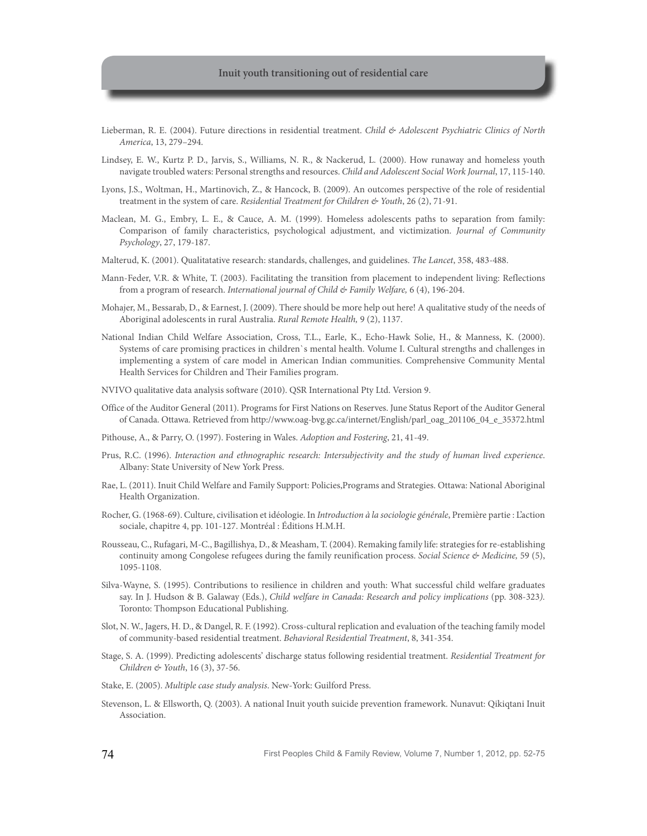- Lieberman, R. E. (2004). Future directions in residential treatment. *Child & Adolescent Psychiatric Clinics of North America*, 13, 279–294.
- Lindsey, E. W., Kurtz P. D., Jarvis, S., Williams, N. R., & Nackerud, L. (2000). How runaway and homeless youth navigate troubled waters: Personal strengths and resources. *Child and Adolescent Social Work Journal*, 17, 115-140.
- Lyons, J.S., Woltman, H., Martinovich, Z., & Hancock, B. (2009). An outcomes perspective of the role of residential treatment in the system of care. *Residential Treatment for Children & Youth*, 26 (2), 71-91.
- Maclean, M. G., Embry, L. E., & Cauce, A. M. (1999). Homeless adolescents paths to separation from family: Comparison of family characteristics, psychological adjustment, and victimization. *Journal of Community Psychology*, 27, 179-187.
- Malterud, K. (2001). Qualitatative research: standards, challenges, and guidelines. *The Lancet*, 358, 483-488.
- Mann-Feder, V.R. & White, T. (2003). Facilitating the transition from placement to independent living: Reflections from a program of research. *International journal of Child & Family Welfare,* 6 (4), 196-204.
- Mohajer, M., Bessarab, D., & Earnest, J. (2009). There should be more help out here! A qualitative study of the needs of Aboriginal adolescents in rural Australia. *Rural Remote Health,* 9 (2), 1137.
- National Indian Child Welfare Association, Cross, T.L., Earle, K., Echo-Hawk Solie, H., & Manness, K. (2000). Systems of care promising practices in children`s mental health. Volume I. Cultural strengths and challenges in implementing a system of care model in American Indian communities. Comprehensive Community Mental Health Services for Children and Their Families program.
- NVIVO qualitative data analysis software (2010). QSR International Pty Ltd. Version 9.
- Office of the Auditor General (2011). Programs for First Nations on Reserves. June Status Report of the Auditor General of Canada. Ottawa. Retrieved from http://www.oag-bvg.gc.ca/internet/English/parl\_oag\_201106\_04\_e\_35372.html
- Pithouse, A., & Parry, O. (1997). Fostering in Wales. *Adoption and Fostering*, 21, 41-49.
- Prus, R.C. (1996). *Interaction and ethnographic research: Intersubjectivity and the study of human lived experience*. Albany: State University of New York Press.
- Rae, L. (2011). Inuit Child Welfare and Family Support: Policies,Programs and Strategies. Ottawa: National Aboriginal Health Organization.
- Rocher, G. (1968-69). Culture, civilisation et idéologie. In *Introduction à la sociologie générale*, Première partie : L'action sociale, chapitre 4, pp. 101-127. Montréal : Éditions H.M.H.
- Rousseau, C., Rufagari, M-C., Bagillishya, D., & Measham, T. (2004). Remaking family life: strategies for re-establishing continuity among Congolese refugees during the family reunification process. *Social Science & Medicine,* 59 (5), 1095-1108.
- Silva-Wayne, S. (1995). Contributions to resilience in children and youth: What successful child welfare graduates say. In J. Hudson & B. Galaway (Eds.), *Child welfare in Canada: Research and policy implications* (pp. 308-323*).*  Toronto: Thompson Educational Publishing.
- Slot, N. W., Jagers, H. D., & Dangel, R. F. (1992). Cross-cultural replication and evaluation of the teaching family model of community-based residential treatment. *Behavioral Residential Treatment*, 8, 341-354.
- Stage, S. A. (1999). Predicting adolescents' discharge status following residential treatment. *Residential Treatment for Children & Youth*, 16 (3), 37-56.
- Stake, E. (2005). *Multiple case study analysis*. New-York: Guilford Press.
- Stevenson, L. & Ellsworth, Q. (2003). A national Inuit youth suicide prevention framework. Nunavut: Qikiqtani Inuit Association.